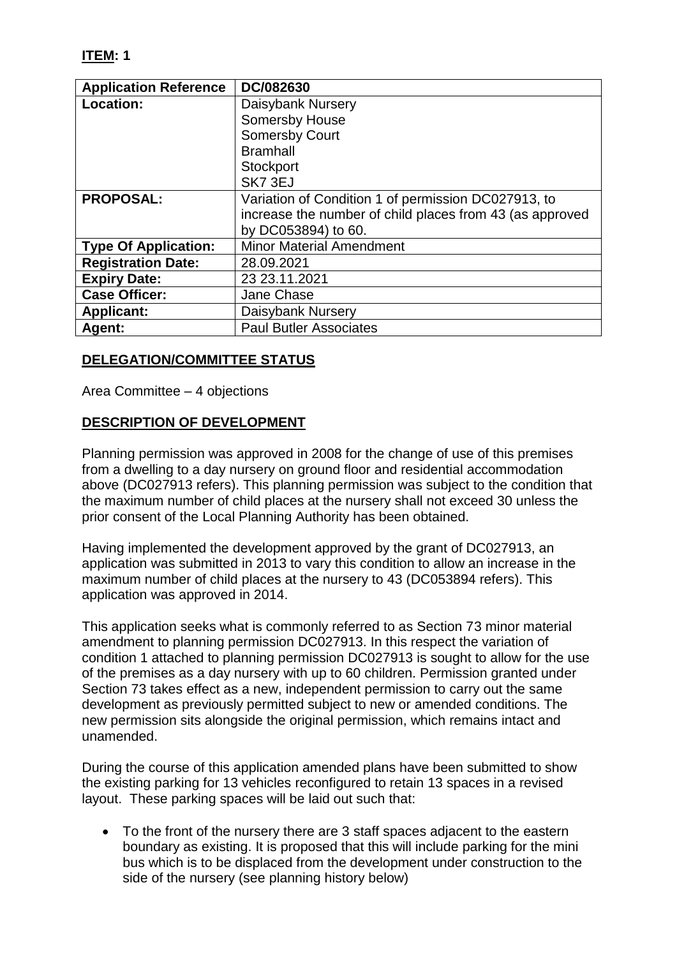## **ITEM: 1**

| <b>Application Reference</b> | DC/082630                                                |
|------------------------------|----------------------------------------------------------|
| Location:                    | Daisybank Nursery                                        |
|                              | <b>Somersby House</b>                                    |
|                              | <b>Somersby Court</b>                                    |
|                              | <b>Bramhall</b>                                          |
|                              | Stockport                                                |
|                              | SK7 3EJ                                                  |
| <b>PROPOSAL:</b>             | Variation of Condition 1 of permission DC027913, to      |
|                              | increase the number of child places from 43 (as approved |
|                              | by DC053894) to 60.                                      |
| <b>Type Of Application:</b>  | <b>Minor Material Amendment</b>                          |
| <b>Registration Date:</b>    | 28.09.2021                                               |
| <b>Expiry Date:</b>          | 23 23.11.2021                                            |
| <b>Case Officer:</b>         | Jane Chase                                               |
| <b>Applicant:</b>            | Daisybank Nursery                                        |
| Agent:                       | <b>Paul Butler Associates</b>                            |

#### **DELEGATION/COMMITTEE STATUS**

Area Committee – 4 objections

#### **DESCRIPTION OF DEVELOPMENT**

Planning permission was approved in 2008 for the change of use of this premises from a dwelling to a day nursery on ground floor and residential accommodation above (DC027913 refers). This planning permission was subject to the condition that the maximum number of child places at the nursery shall not exceed 30 unless the prior consent of the Local Planning Authority has been obtained.

Having implemented the development approved by the grant of DC027913, an application was submitted in 2013 to vary this condition to allow an increase in the maximum number of child places at the nursery to 43 (DC053894 refers). This application was approved in 2014.

This application seeks what is commonly referred to as Section 73 minor material amendment to planning permission DC027913. In this respect the variation of condition 1 attached to planning permission DC027913 is sought to allow for the use of the premises as a day nursery with up to 60 children. Permission granted under Section 73 takes effect as a new, independent permission to carry out the same development as previously permitted subject to new or amended conditions. The new permission sits alongside the original permission, which remains intact and unamended.

During the course of this application amended plans have been submitted to show the existing parking for 13 vehicles reconfigured to retain 13 spaces in a revised layout. These parking spaces will be laid out such that:

 To the front of the nursery there are 3 staff spaces adjacent to the eastern boundary as existing. It is proposed that this will include parking for the mini bus which is to be displaced from the development under construction to the side of the nursery (see planning history below)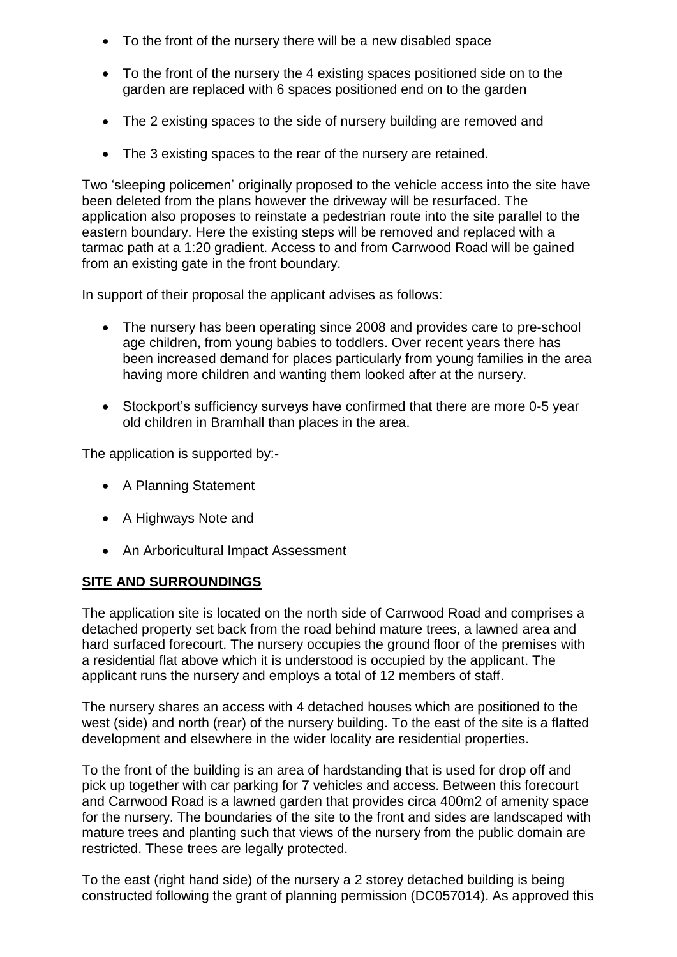- To the front of the nursery there will be a new disabled space
- To the front of the nursery the 4 existing spaces positioned side on to the garden are replaced with 6 spaces positioned end on to the garden
- The 2 existing spaces to the side of nursery building are removed and
- The 3 existing spaces to the rear of the nursery are retained.

Two 'sleeping policemen' originally proposed to the vehicle access into the site have been deleted from the plans however the driveway will be resurfaced. The application also proposes to reinstate a pedestrian route into the site parallel to the eastern boundary. Here the existing steps will be removed and replaced with a tarmac path at a 1:20 gradient. Access to and from Carrwood Road will be gained from an existing gate in the front boundary.

In support of their proposal the applicant advises as follows:

- The nursery has been operating since 2008 and provides care to pre-school age children, from young babies to toddlers. Over recent years there has been increased demand for places particularly from young families in the area having more children and wanting them looked after at the nursery.
- Stockport's sufficiency surveys have confirmed that there are more 0-5 year old children in Bramhall than places in the area.

The application is supported by:-

- A Planning Statement
- A Highways Note and
- An Arboricultural Impact Assessment

#### **SITE AND SURROUNDINGS**

The application site is located on the north side of Carrwood Road and comprises a detached property set back from the road behind mature trees, a lawned area and hard surfaced forecourt. The nursery occupies the ground floor of the premises with a residential flat above which it is understood is occupied by the applicant. The applicant runs the nursery and employs a total of 12 members of staff.

The nursery shares an access with 4 detached houses which are positioned to the west (side) and north (rear) of the nursery building. To the east of the site is a flatted development and elsewhere in the wider locality are residential properties.

To the front of the building is an area of hardstanding that is used for drop off and pick up together with car parking for 7 vehicles and access. Between this forecourt and Carrwood Road is a lawned garden that provides circa 400m2 of amenity space for the nursery. The boundaries of the site to the front and sides are landscaped with mature trees and planting such that views of the nursery from the public domain are restricted. These trees are legally protected.

To the east (right hand side) of the nursery a 2 storey detached building is being constructed following the grant of planning permission (DC057014). As approved this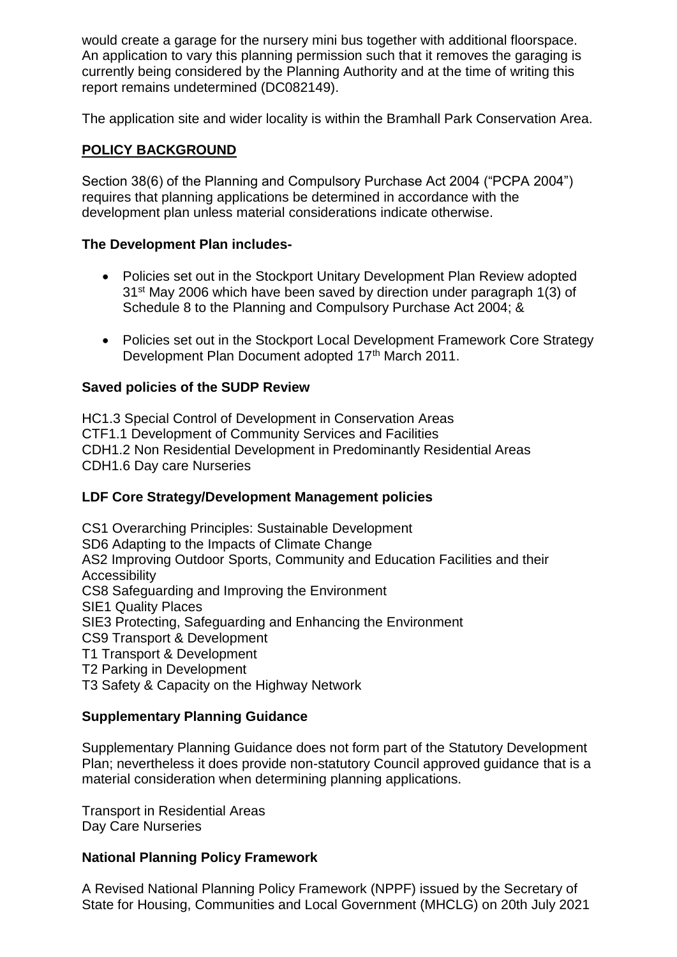would create a garage for the nursery mini bus together with additional floorspace. An application to vary this planning permission such that it removes the garaging is currently being considered by the Planning Authority and at the time of writing this report remains undetermined (DC082149).

The application site and wider locality is within the Bramhall Park Conservation Area.

## **POLICY BACKGROUND**

Section 38(6) of the Planning and Compulsory Purchase Act 2004 ("PCPA 2004") requires that planning applications be determined in accordance with the development plan unless material considerations indicate otherwise.

## **The Development Plan includes-**

- Policies set out in the Stockport Unitary Development Plan Review adopted 31st May 2006 which have been saved by direction under paragraph 1(3) of Schedule 8 to the Planning and Compulsory Purchase Act 2004; &
- Policies set out in the Stockport Local Development Framework Core Strategy Development Plan Document adopted 17th March 2011.

## **Saved policies of the SUDP Review**

HC1.3 Special Control of Development in Conservation Areas CTF1.1 Development of Community Services and Facilities CDH1.2 Non Residential Development in Predominantly Residential Areas CDH1.6 Day care Nurseries

## **LDF Core Strategy/Development Management policies**

CS1 Overarching Principles: Sustainable Development SD6 Adapting to the Impacts of Climate Change AS2 Improving Outdoor Sports, Community and Education Facilities and their **Accessibility** CS8 Safeguarding and Improving the Environment SIE1 Quality Places SIE3 Protecting, Safeguarding and Enhancing the Environment CS9 Transport & Development T1 Transport & Development

T2 Parking in Development

T3 Safety & Capacity on the Highway Network

## **Supplementary Planning Guidance**

Supplementary Planning Guidance does not form part of the Statutory Development Plan; nevertheless it does provide non-statutory Council approved guidance that is a material consideration when determining planning applications.

Transport in Residential Areas Day Care Nurseries

#### **National Planning Policy Framework**

A Revised National Planning Policy Framework (NPPF) issued by the Secretary of State for Housing, Communities and Local Government (MHCLG) on 20th July 2021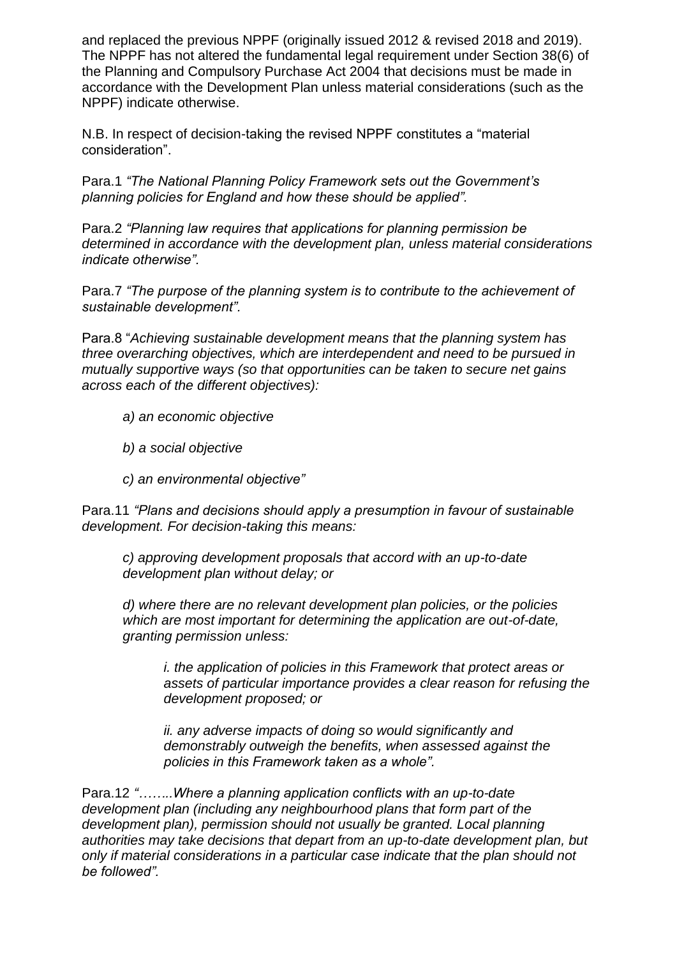and replaced the previous NPPF (originally issued 2012 & revised 2018 and 2019). The NPPF has not altered the fundamental legal requirement under Section 38(6) of the Planning and Compulsory Purchase Act 2004 that decisions must be made in accordance with the Development Plan unless material considerations (such as the NPPF) indicate otherwise.

N.B. In respect of decision-taking the revised NPPF constitutes a "material consideration".

Para.1 *"The National Planning Policy Framework sets out the Government's planning policies for England and how these should be applied".*

Para.2 *"Planning law requires that applications for planning permission be determined in accordance with the development plan, unless material considerations indicate otherwise".*

Para.7 *"The purpose of the planning system is to contribute to the achievement of sustainable development".*

Para.8 "*Achieving sustainable development means that the planning system has three overarching objectives, which are interdependent and need to be pursued in mutually supportive ways (so that opportunities can be taken to secure net gains across each of the different objectives):*

- *a) an economic objective*
- *b) a social objective*
- *c) an environmental objective"*

Para.11 *"Plans and decisions should apply a presumption in favour of sustainable development. For decision-taking this means:*

*c) approving development proposals that accord with an up-to-date development plan without delay; or*

*d) where there are no relevant development plan policies, or the policies which are most important for determining the application are out-of-date, granting permission unless:*

*i. the application of policies in this Framework that protect areas or assets of particular importance provides a clear reason for refusing the development proposed; or*

*ii. any adverse impacts of doing so would significantly and demonstrably outweigh the benefits, when assessed against the policies in this Framework taken as a whole".*

Para.12 *"……..Where a planning application conflicts with an up-to-date development plan (including any neighbourhood plans that form part of the development plan), permission should not usually be granted. Local planning authorities may take decisions that depart from an up-to-date development plan, but only if material considerations in a particular case indicate that the plan should not be followed".*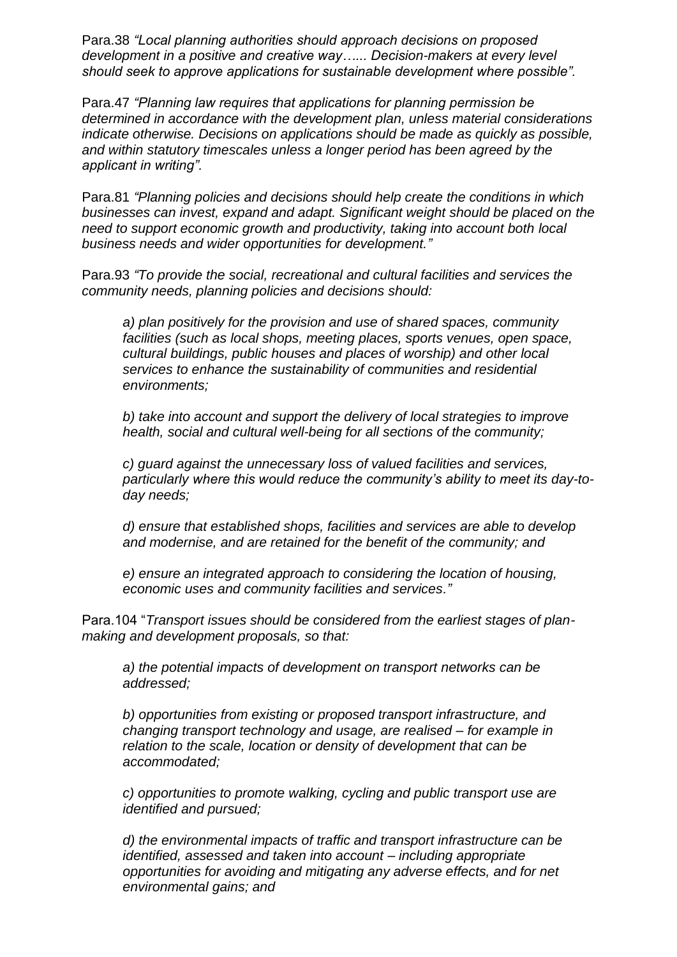Para.38 *"Local planning authorities should approach decisions on proposed development in a positive and creative way…... Decision-makers at every level should seek to approve applications for sustainable development where possible".*

Para.47 *"Planning law requires that applications for planning permission be determined in accordance with the development plan, unless material considerations indicate otherwise. Decisions on applications should be made as quickly as possible, and within statutory timescales unless a longer period has been agreed by the applicant in writing".*

Para.81 *"Planning policies and decisions should help create the conditions in which businesses can invest, expand and adapt. Significant weight should be placed on the need to support economic growth and productivity, taking into account both local business needs and wider opportunities for development."*

Para.93 *"To provide the social, recreational and cultural facilities and services the community needs, planning policies and decisions should:* 

*a) plan positively for the provision and use of shared spaces, community facilities (such as local shops, meeting places, sports venues, open space, cultural buildings, public houses and places of worship) and other local services to enhance the sustainability of communities and residential environments;*

*b) take into account and support the delivery of local strategies to improve health, social and cultural well-being for all sections of the community;*

*c) guard against the unnecessary loss of valued facilities and services, particularly where this would reduce the community's ability to meet its day-today needs;* 

*d) ensure that established shops, facilities and services are able to develop and modernise, and are retained for the benefit of the community; and*

*e) ensure an integrated approach to considering the location of housing, economic uses and community facilities and services."*

Para.104 "*Transport issues should be considered from the earliest stages of planmaking and development proposals, so that:*

*a) the potential impacts of development on transport networks can be addressed;*

*b) opportunities from existing or proposed transport infrastructure, and changing transport technology and usage, are realised – for example in relation to the scale, location or density of development that can be accommodated;*

*c) opportunities to promote walking, cycling and public transport use are identified and pursued;*

*d) the environmental impacts of traffic and transport infrastructure can be identified, assessed and taken into account – including appropriate opportunities for avoiding and mitigating any adverse effects, and for net environmental gains; and*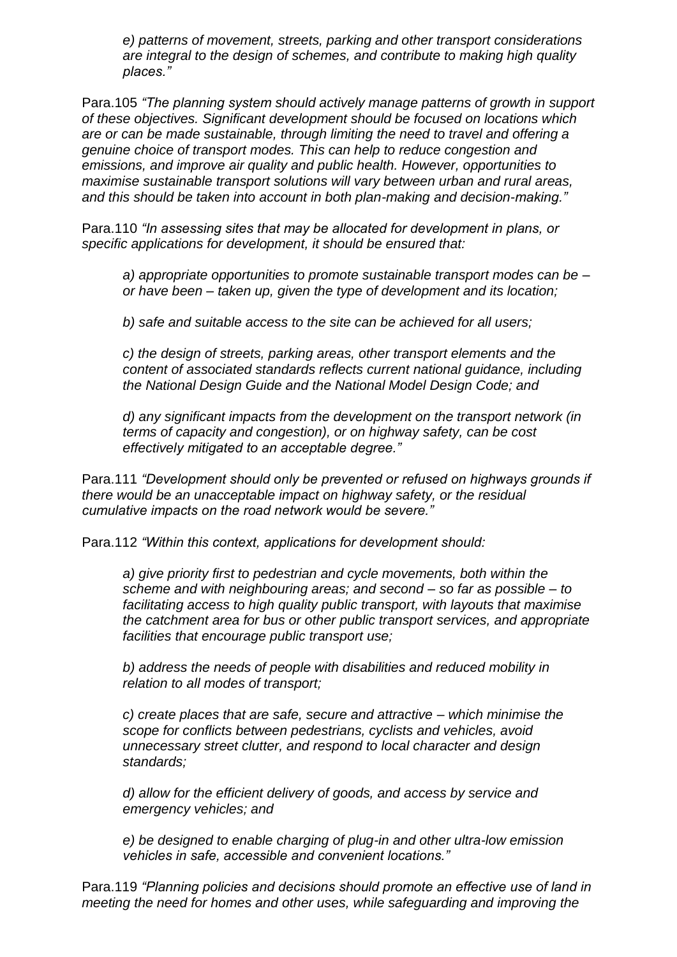*e) patterns of movement, streets, parking and other transport considerations are integral to the design of schemes, and contribute to making high quality places."*

Para.105 *"The planning system should actively manage patterns of growth in support of these objectives. Significant development should be focused on locations which are or can be made sustainable, through limiting the need to travel and offering a genuine choice of transport modes. This can help to reduce congestion and emissions, and improve air quality and public health. However, opportunities to maximise sustainable transport solutions will vary between urban and rural areas, and this should be taken into account in both plan-making and decision-making."*

Para.110 *"In assessing sites that may be allocated for development in plans, or specific applications for development, it should be ensured that:*

*a) appropriate opportunities to promote sustainable transport modes can be – or have been – taken up, given the type of development and its location;*

*b) safe and suitable access to the site can be achieved for all users;*

*c) the design of streets, parking areas, other transport elements and the content of associated standards reflects current national guidance, including the National Design Guide and the National Model Design Code; and*

*d) any significant impacts from the development on the transport network (in terms of capacity and congestion), or on highway safety, can be cost effectively mitigated to an acceptable degree."*

Para.111 *"Development should only be prevented or refused on highways grounds if there would be an unacceptable impact on highway safety, or the residual cumulative impacts on the road network would be severe."*

Para.112 *"Within this context, applications for development should:*

*a) give priority first to pedestrian and cycle movements, both within the scheme and with neighbouring areas; and second – so far as possible – to facilitating access to high quality public transport, with layouts that maximise the catchment area for bus or other public transport services, and appropriate facilities that encourage public transport use;*

*b) address the needs of people with disabilities and reduced mobility in relation to all modes of transport;*

*c) create places that are safe, secure and attractive – which minimise the scope for conflicts between pedestrians, cyclists and vehicles, avoid unnecessary street clutter, and respond to local character and design standards;*

*d) allow for the efficient delivery of goods, and access by service and emergency vehicles; and*

*e) be designed to enable charging of plug-in and other ultra-low emission vehicles in safe, accessible and convenient locations."*

Para.119 *"Planning policies and decisions should promote an effective use of land in meeting the need for homes and other uses, while safeguarding and improving the*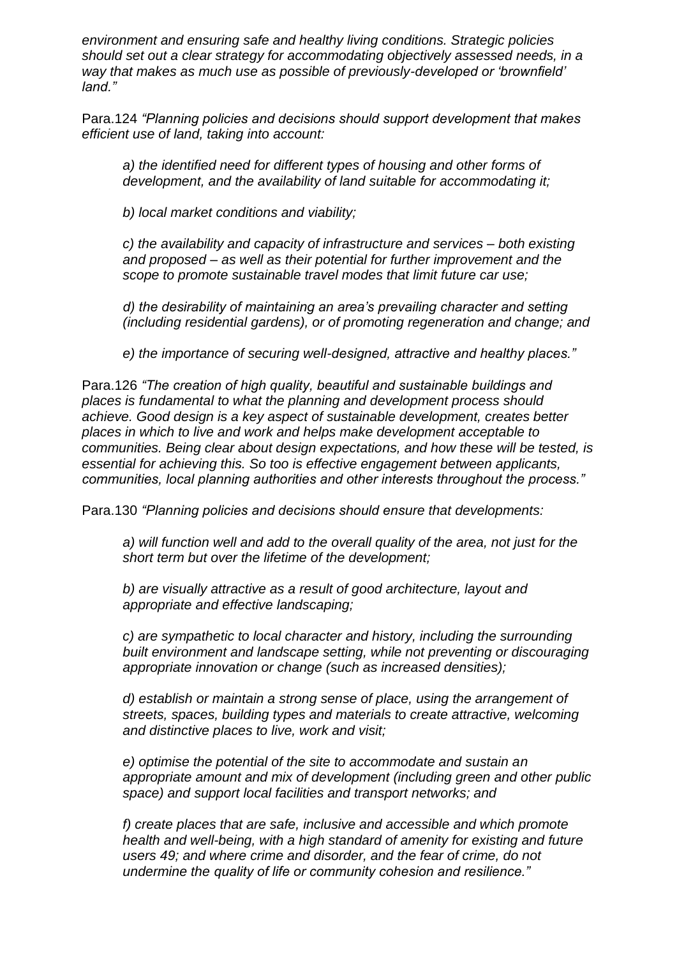*environment and ensuring safe and healthy living conditions. Strategic policies should set out a clear strategy for accommodating objectively assessed needs, in a way that makes as much use as possible of previously-developed or 'brownfield' land."*

Para.124 *"Planning policies and decisions should support development that makes efficient use of land, taking into account:*

*a) the identified need for different types of housing and other forms of development, and the availability of land suitable for accommodating it;*

*b) local market conditions and viability;*

*c) the availability and capacity of infrastructure and services – both existing and proposed – as well as their potential for further improvement and the scope to promote sustainable travel modes that limit future car use;*

*d) the desirability of maintaining an area's prevailing character and setting (including residential gardens), or of promoting regeneration and change; and*

*e) the importance of securing well-designed, attractive and healthy places."*

Para.126 *"The creation of high quality, beautiful and sustainable buildings and places is fundamental to what the planning and development process should achieve. Good design is a key aspect of sustainable development, creates better places in which to live and work and helps make development acceptable to communities. Being clear about design expectations, and how these will be tested, is essential for achieving this. So too is effective engagement between applicants, communities, local planning authorities and other interests throughout the process."*

Para.130 *"Planning policies and decisions should ensure that developments:*

*a) will function well and add to the overall quality of the area, not just for the short term but over the lifetime of the development;*

*b) are visually attractive as a result of good architecture, layout and appropriate and effective landscaping;*

*c) are sympathetic to local character and history, including the surrounding built environment and landscape setting, while not preventing or discouraging appropriate innovation or change (such as increased densities);*

*d) establish or maintain a strong sense of place, using the arrangement of streets, spaces, building types and materials to create attractive, welcoming and distinctive places to live, work and visit;*

*e) optimise the potential of the site to accommodate and sustain an appropriate amount and mix of development (including green and other public space) and support local facilities and transport networks; and*

*f) create places that are safe, inclusive and accessible and which promote health and well-being, with a high standard of amenity for existing and future users 49; and where crime and disorder, and the fear of crime, do not undermine the quality of life or community cohesion and resilience."*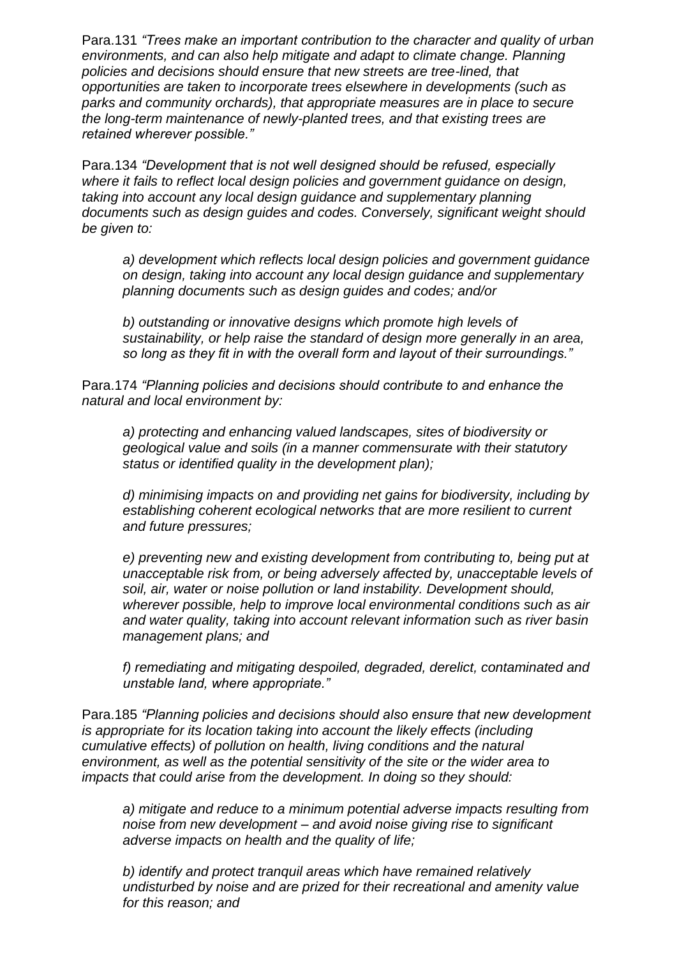Para.131 *"Trees make an important contribution to the character and quality of urban environments, and can also help mitigate and adapt to climate change. Planning policies and decisions should ensure that new streets are tree-lined, that opportunities are taken to incorporate trees elsewhere in developments (such as parks and community orchards), that appropriate measures are in place to secure the long-term maintenance of newly-planted trees, and that existing trees are retained wherever possible."*

Para.134 *"Development that is not well designed should be refused, especially where it fails to reflect local design policies and government guidance on design, taking into account any local design guidance and supplementary planning documents such as design guides and codes. Conversely, significant weight should be given to:*

*a) development which reflects local design policies and government guidance on design, taking into account any local design guidance and supplementary planning documents such as design guides and codes; and/or*

*b) outstanding or innovative designs which promote high levels of sustainability, or help raise the standard of design more generally in an area, so long as they fit in with the overall form and layout of their surroundings."*

Para.174 *"Planning policies and decisions should contribute to and enhance the natural and local environment by:*

*a) protecting and enhancing valued landscapes, sites of biodiversity or geological value and soils (in a manner commensurate with their statutory status or identified quality in the development plan);*

*d) minimising impacts on and providing net gains for biodiversity, including by establishing coherent ecological networks that are more resilient to current and future pressures;*

*e) preventing new and existing development from contributing to, being put at unacceptable risk from, or being adversely affected by, unacceptable levels of soil, air, water or noise pollution or land instability. Development should, wherever possible, help to improve local environmental conditions such as air and water quality, taking into account relevant information such as river basin management plans; and*

*f) remediating and mitigating despoiled, degraded, derelict, contaminated and unstable land, where appropriate."*

Para.185 *"Planning policies and decisions should also ensure that new development is appropriate for its location taking into account the likely effects (including cumulative effects) of pollution on health, living conditions and the natural environment, as well as the potential sensitivity of the site or the wider area to impacts that could arise from the development. In doing so they should:*

*a) mitigate and reduce to a minimum potential adverse impacts resulting from noise from new development – and avoid noise giving rise to significant adverse impacts on health and the quality of life;*

*b) identify and protect tranquil areas which have remained relatively undisturbed by noise and are prized for their recreational and amenity value for this reason; and*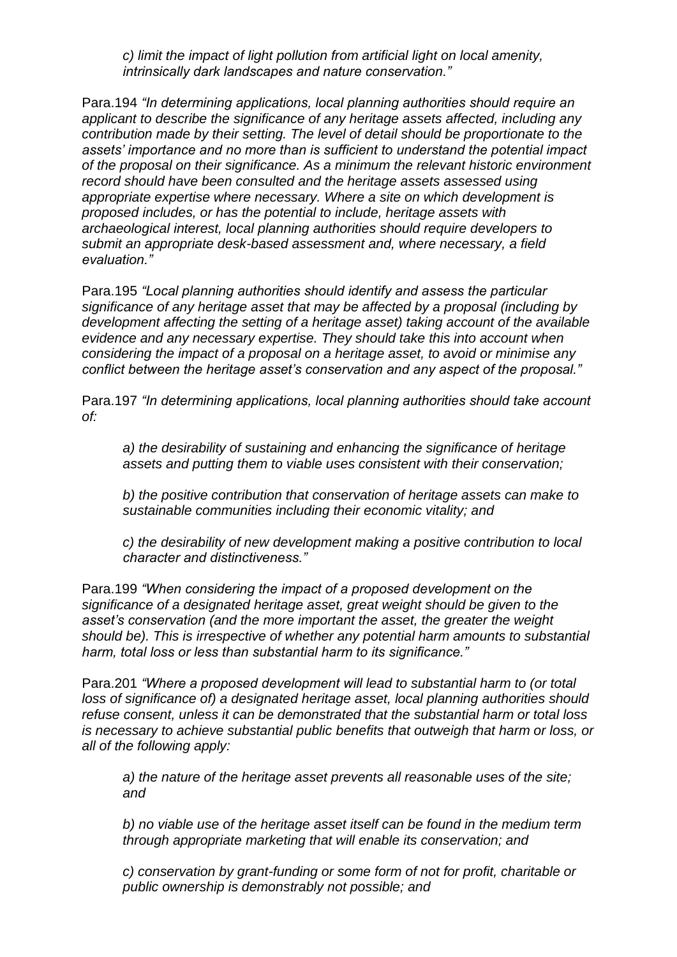*c) limit the impact of light pollution from artificial light on local amenity, intrinsically dark landscapes and nature conservation."*

Para.194 *"In determining applications, local planning authorities should require an applicant to describe the significance of any heritage assets affected, including any contribution made by their setting. The level of detail should be proportionate to the assets' importance and no more than is sufficient to understand the potential impact of the proposal on their significance. As a minimum the relevant historic environment record should have been consulted and the heritage assets assessed using appropriate expertise where necessary. Where a site on which development is proposed includes, or has the potential to include, heritage assets with archaeological interest, local planning authorities should require developers to submit an appropriate desk-based assessment and, where necessary, a field evaluation."*

Para.195 *"Local planning authorities should identify and assess the particular significance of any heritage asset that may be affected by a proposal (including by development affecting the setting of a heritage asset) taking account of the available evidence and any necessary expertise. They should take this into account when considering the impact of a proposal on a heritage asset, to avoid or minimise any conflict between the heritage asset's conservation and any aspect of the proposal."*

Para.197 *"In determining applications, local planning authorities should take account of:*

*a) the desirability of sustaining and enhancing the significance of heritage assets and putting them to viable uses consistent with their conservation;*

*b) the positive contribution that conservation of heritage assets can make to sustainable communities including their economic vitality; and*

*c) the desirability of new development making a positive contribution to local character and distinctiveness."*

Para.199 *"When considering the impact of a proposed development on the significance of a designated heritage asset, great weight should be given to the asset's conservation (and the more important the asset, the greater the weight should be). This is irrespective of whether any potential harm amounts to substantial harm, total loss or less than substantial harm to its significance."*

Para.201 *"Where a proposed development will lead to substantial harm to (or total loss of significance of) a designated heritage asset, local planning authorities should refuse consent, unless it can be demonstrated that the substantial harm or total loss is necessary to achieve substantial public benefits that outweigh that harm or loss, or all of the following apply:*

*a) the nature of the heritage asset prevents all reasonable uses of the site; and*

*b) no viable use of the heritage asset itself can be found in the medium term through appropriate marketing that will enable its conservation; and*

*c) conservation by grant-funding or some form of not for profit, charitable or public ownership is demonstrably not possible; and*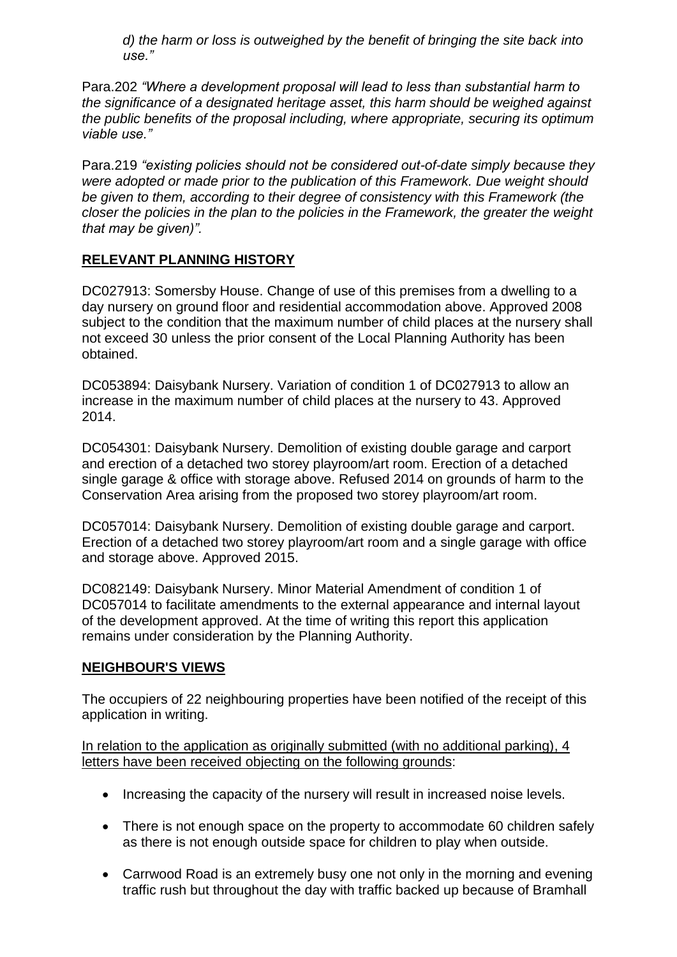*d) the harm or loss is outweighed by the benefit of bringing the site back into use."*

Para.202 *"Where a development proposal will lead to less than substantial harm to the significance of a designated heritage asset, this harm should be weighed against the public benefits of the proposal including, where appropriate, securing its optimum viable use."*

Para.219 *"existing policies should not be considered out-of-date simply because they were adopted or made prior to the publication of this Framework. Due weight should be given to them, according to their degree of consistency with this Framework (the closer the policies in the plan to the policies in the Framework, the greater the weight that may be given)".*

#### **RELEVANT PLANNING HISTORY**

DC027913: Somersby House. Change of use of this premises from a dwelling to a day nursery on ground floor and residential accommodation above. Approved 2008 subject to the condition that the maximum number of child places at the nursery shall not exceed 30 unless the prior consent of the Local Planning Authority has been obtained.

DC053894: Daisybank Nursery. Variation of condition 1 of DC027913 to allow an increase in the maximum number of child places at the nursery to 43. Approved 2014.

DC054301: Daisybank Nursery. Demolition of existing double garage and carport and erection of a detached two storey playroom/art room. Erection of a detached single garage & office with storage above. Refused 2014 on grounds of harm to the Conservation Area arising from the proposed two storey playroom/art room.

DC057014: Daisybank Nursery. Demolition of existing double garage and carport. Erection of a detached two storey playroom/art room and a single garage with office and storage above. Approved 2015.

DC082149: Daisybank Nursery. Minor Material Amendment of condition 1 of DC057014 to facilitate amendments to the external appearance and internal layout of the development approved. At the time of writing this report this application remains under consideration by the Planning Authority.

#### **NEIGHBOUR'S VIEWS**

The occupiers of 22 neighbouring properties have been notified of the receipt of this application in writing.

In relation to the application as originally submitted (with no additional parking), 4 letters have been received objecting on the following grounds:

- Increasing the capacity of the nursery will result in increased noise levels.
- There is not enough space on the property to accommodate 60 children safely as there is not enough outside space for children to play when outside.
- Carrwood Road is an extremely busy one not only in the morning and evening traffic rush but throughout the day with traffic backed up because of Bramhall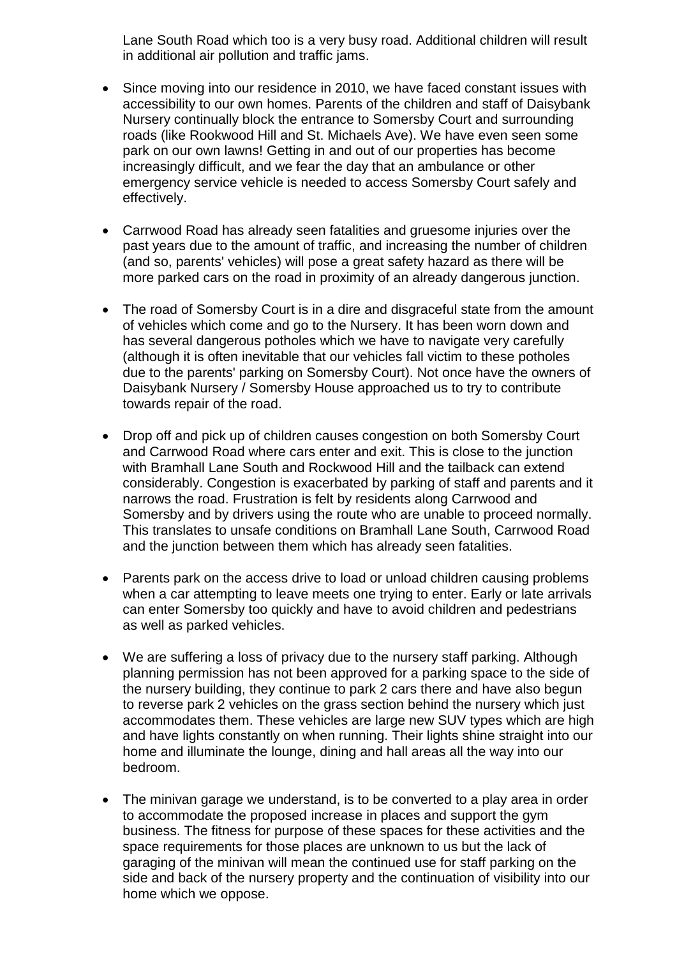Lane South Road which too is a very busy road. Additional children will result in additional air pollution and traffic jams.

- Since moving into our residence in 2010, we have faced constant issues with accessibility to our own homes. Parents of the children and staff of Daisybank Nursery continually block the entrance to Somersby Court and surrounding roads (like Rookwood Hill and St. Michaels Ave). We have even seen some park on our own lawns! Getting in and out of our properties has become increasingly difficult, and we fear the day that an ambulance or other emergency service vehicle is needed to access Somersby Court safely and effectively.
- Carrwood Road has already seen fatalities and gruesome injuries over the past years due to the amount of traffic, and increasing the number of children (and so, parents' vehicles) will pose a great safety hazard as there will be more parked cars on the road in proximity of an already dangerous junction.
- The road of Somersby Court is in a dire and disgraceful state from the amount of vehicles which come and go to the Nursery. It has been worn down and has several dangerous potholes which we have to navigate very carefully (although it is often inevitable that our vehicles fall victim to these potholes due to the parents' parking on Somersby Court). Not once have the owners of Daisybank Nursery / Somersby House approached us to try to contribute towards repair of the road.
- Drop off and pick up of children causes congestion on both Somersby Court and Carrwood Road where cars enter and exit. This is close to the junction with Bramhall Lane South and Rockwood Hill and the tailback can extend considerably. Congestion is exacerbated by parking of staff and parents and it narrows the road. Frustration is felt by residents along Carrwood and Somersby and by drivers using the route who are unable to proceed normally. This translates to unsafe conditions on Bramhall Lane South, Carrwood Road and the junction between them which has already seen fatalities.
- Parents park on the access drive to load or unload children causing problems when a car attempting to leave meets one trying to enter. Early or late arrivals can enter Somersby too quickly and have to avoid children and pedestrians as well as parked vehicles.
- We are suffering a loss of privacy due to the nursery staff parking. Although planning permission has not been approved for a parking space to the side of the nursery building, they continue to park 2 cars there and have also begun to reverse park 2 vehicles on the grass section behind the nursery which just accommodates them. These vehicles are large new SUV types which are high and have lights constantly on when running. Their lights shine straight into our home and illuminate the lounge, dining and hall areas all the way into our bedroom.
- The minivan garage we understand, is to be converted to a play area in order to accommodate the proposed increase in places and support the gym business. The fitness for purpose of these spaces for these activities and the space requirements for those places are unknown to us but the lack of garaging of the minivan will mean the continued use for staff parking on the side and back of the nursery property and the continuation of visibility into our home which we oppose.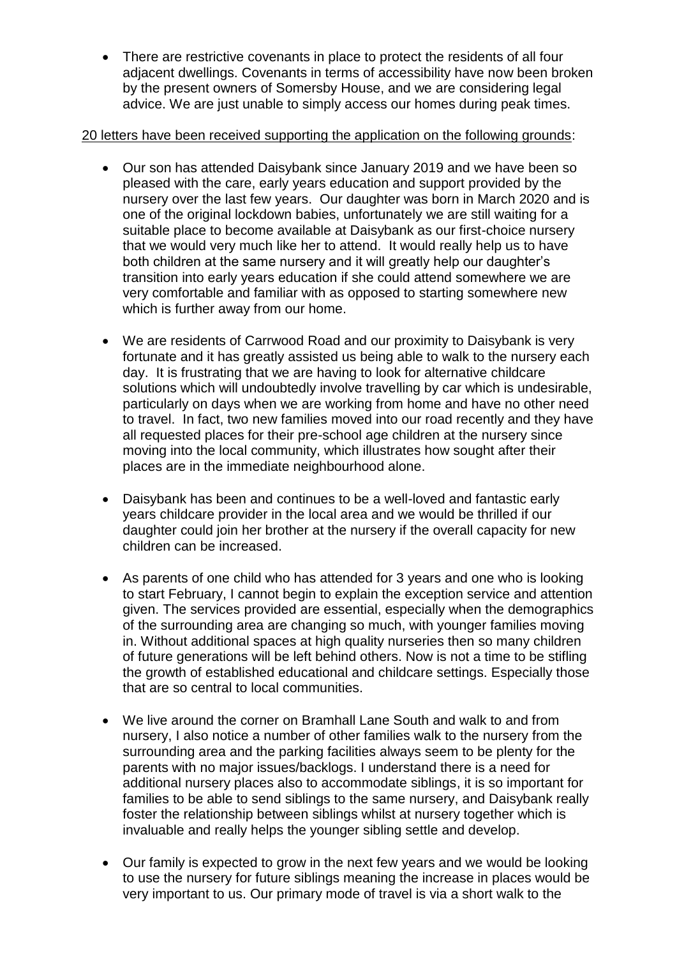There are restrictive covenants in place to protect the residents of all four adjacent dwellings. Covenants in terms of accessibility have now been broken by the present owners of Somersby House, and we are considering legal advice. We are just unable to simply access our homes during peak times.

#### 20 letters have been received supporting the application on the following grounds:

- Our son has attended Daisybank since January 2019 and we have been so pleased with the care, early years education and support provided by the nursery over the last few years. Our daughter was born in March 2020 and is one of the original lockdown babies, unfortunately we are still waiting for a suitable place to become available at Daisybank as our first-choice nursery that we would very much like her to attend. It would really help us to have both children at the same nursery and it will greatly help our daughter's transition into early years education if she could attend somewhere we are very comfortable and familiar with as opposed to starting somewhere new which is further away from our home.
- We are residents of Carrwood Road and our proximity to Daisybank is very fortunate and it has greatly assisted us being able to walk to the nursery each day. It is frustrating that we are having to look for alternative childcare solutions which will undoubtedly involve travelling by car which is undesirable, particularly on days when we are working from home and have no other need to travel. In fact, two new families moved into our road recently and they have all requested places for their pre-school age children at the nursery since moving into the local community, which illustrates how sought after their places are in the immediate neighbourhood alone.
- Daisybank has been and continues to be a well-loved and fantastic early years childcare provider in the local area and we would be thrilled if our daughter could join her brother at the nursery if the overall capacity for new children can be increased.
- As parents of one child who has attended for 3 years and one who is looking to start February, I cannot begin to explain the exception service and attention given. The services provided are essential, especially when the demographics of the surrounding area are changing so much, with younger families moving in. Without additional spaces at high quality nurseries then so many children of future generations will be left behind others. Now is not a time to be stifling the growth of established educational and childcare settings. Especially those that are so central to local communities.
- We live around the corner on Bramhall Lane South and walk to and from nursery, I also notice a number of other families walk to the nursery from the surrounding area and the parking facilities always seem to be plenty for the parents with no major issues/backlogs. I understand there is a need for additional nursery places also to accommodate siblings, it is so important for families to be able to send siblings to the same nursery, and Daisybank really foster the relationship between siblings whilst at nursery together which is invaluable and really helps the younger sibling settle and develop.
- Our family is expected to grow in the next few years and we would be looking to use the nursery for future siblings meaning the increase in places would be very important to us. Our primary mode of travel is via a short walk to the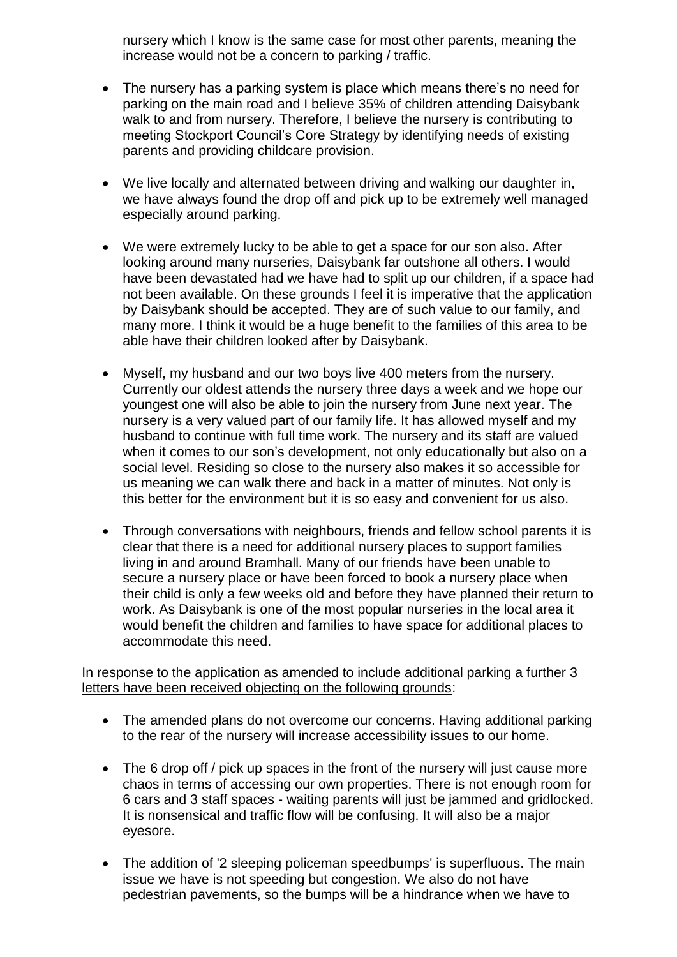nursery which I know is the same case for most other parents, meaning the increase would not be a concern to parking / traffic.

- The nursery has a parking system is place which means there's no need for parking on the main road and I believe 35% of children attending Daisybank walk to and from nursery. Therefore, I believe the nursery is contributing to meeting Stockport Council's Core Strategy by identifying needs of existing parents and providing childcare provision.
- We live locally and alternated between driving and walking our daughter in, we have always found the drop off and pick up to be extremely well managed especially around parking.
- We were extremely lucky to be able to get a space for our son also. After looking around many nurseries, Daisybank far outshone all others. I would have been devastated had we have had to split up our children, if a space had not been available. On these grounds I feel it is imperative that the application by Daisybank should be accepted. They are of such value to our family, and many more. I think it would be a huge benefit to the families of this area to be able have their children looked after by Daisybank.
- Myself, my husband and our two boys live 400 meters from the nursery. Currently our oldest attends the nursery three days a week and we hope our youngest one will also be able to join the nursery from June next year. The nursery is a very valued part of our family life. It has allowed myself and my husband to continue with full time work. The nursery and its staff are valued when it comes to our son's development, not only educationally but also on a social level. Residing so close to the nursery also makes it so accessible for us meaning we can walk there and back in a matter of minutes. Not only is this better for the environment but it is so easy and convenient for us also.
- Through conversations with neighbours, friends and fellow school parents it is clear that there is a need for additional nursery places to support families living in and around Bramhall. Many of our friends have been unable to secure a nursery place or have been forced to book a nursery place when their child is only a few weeks old and before they have planned their return to work. As Daisybank is one of the most popular nurseries in the local area it would benefit the children and families to have space for additional places to accommodate this need.

#### In response to the application as amended to include additional parking a further 3 letters have been received objecting on the following grounds:

- The amended plans do not overcome our concerns. Having additional parking to the rear of the nursery will increase accessibility issues to our home.
- The 6 drop off / pick up spaces in the front of the nursery will just cause more chaos in terms of accessing our own properties. There is not enough room for 6 cars and 3 staff spaces - waiting parents will just be jammed and gridlocked. It is nonsensical and traffic flow will be confusing. It will also be a major eyesore.
- The addition of '2 sleeping policeman speedbumps' is superfluous. The main issue we have is not speeding but congestion. We also do not have pedestrian pavements, so the bumps will be a hindrance when we have to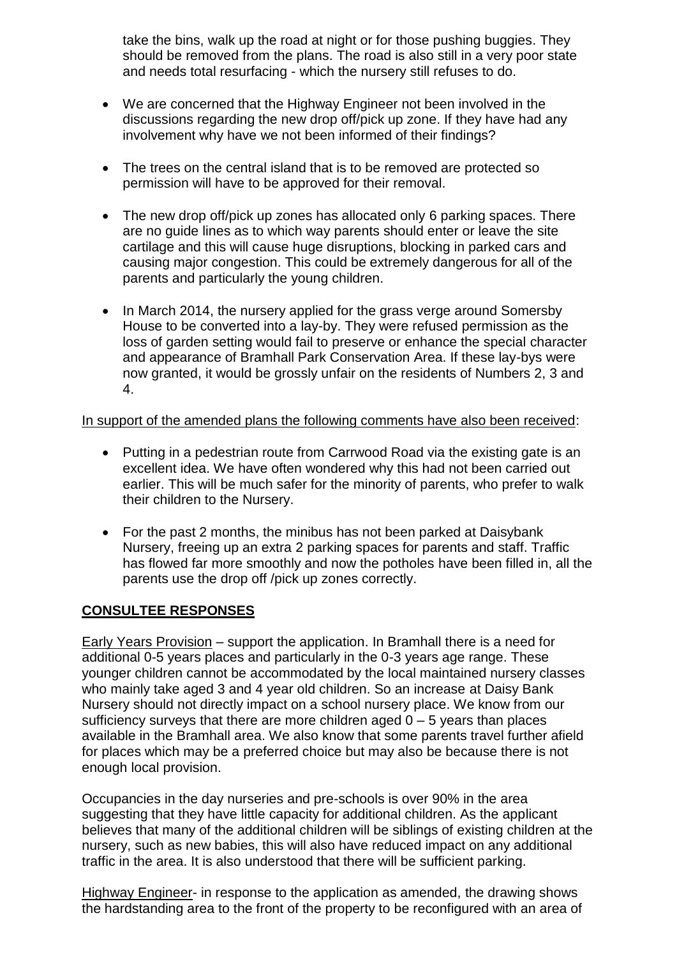take the bins, walk up the road at night or for those pushing buggies. They should be removed from the plans. The road is also still in a very poor state and needs total resurfacing - which the nursery still refuses to do.

- We are concerned that the Highway Engineer not been involved in the discussions regarding the new drop off/pick up zone. If they have had any involvement why have we not been informed of their findings?
- The trees on the central island that is to be removed are protected so permission will have to be approved for their removal.
- The new drop off/pick up zones has allocated only 6 parking spaces. There are no guide lines as to which way parents should enter or leave the site cartilage and this will cause huge disruptions, blocking in parked cars and causing major congestion. This could be extremely dangerous for all of the parents and particularly the young children.
- In March 2014, the nursery applied for the grass verge around Somersby House to be converted into a lay-by. They were refused permission as the loss of garden setting would fail to preserve or enhance the special character and appearance of Bramhall Park Conservation Area. If these lay-bys were now granted, it would be grossly unfair on the residents of Numbers 2, 3 and 4.

In support of the amended plans the following comments have also been received:

- Putting in a pedestrian route from Carrwood Road via the existing gate is an excellent idea. We have often wondered why this had not been carried out earlier. This will be much safer for the minority of parents, who prefer to walk their children to the Nursery.
- For the past 2 months, the minibus has not been parked at Daisybank Nursery, freeing up an extra 2 parking spaces for parents and staff. Traffic has flowed far more smoothly and now the potholes have been filled in, all the parents use the drop off /pick up zones correctly.

## **CONSULTEE RESPONSES**

Early Years Provision – support the application. In Bramhall there is a need for additional 0-5 years places and particularly in the 0-3 years age range. These younger children cannot be accommodated by the local maintained nursery classes who mainly take aged 3 and 4 year old children. So an increase at Daisy Bank Nursery should not directly impact on a school nursery place. We know from our sufficiency surveys that there are more children aged  $0 - 5$  years than places available in the Bramhall area. We also know that some parents travel further afield for places which may be a preferred choice but may also be because there is not enough local provision.

Occupancies in the day nurseries and pre-schools is over 90% in the area suggesting that they have little capacity for additional children. As the applicant believes that many of the additional children will be siblings of existing children at the nursery, such as new babies, this will also have reduced impact on any additional traffic in the area. It is also understood that there will be sufficient parking.

Highway Engineer- in response to the application as amended, the drawing shows the hardstanding area to the front of the property to be reconfigured with an area of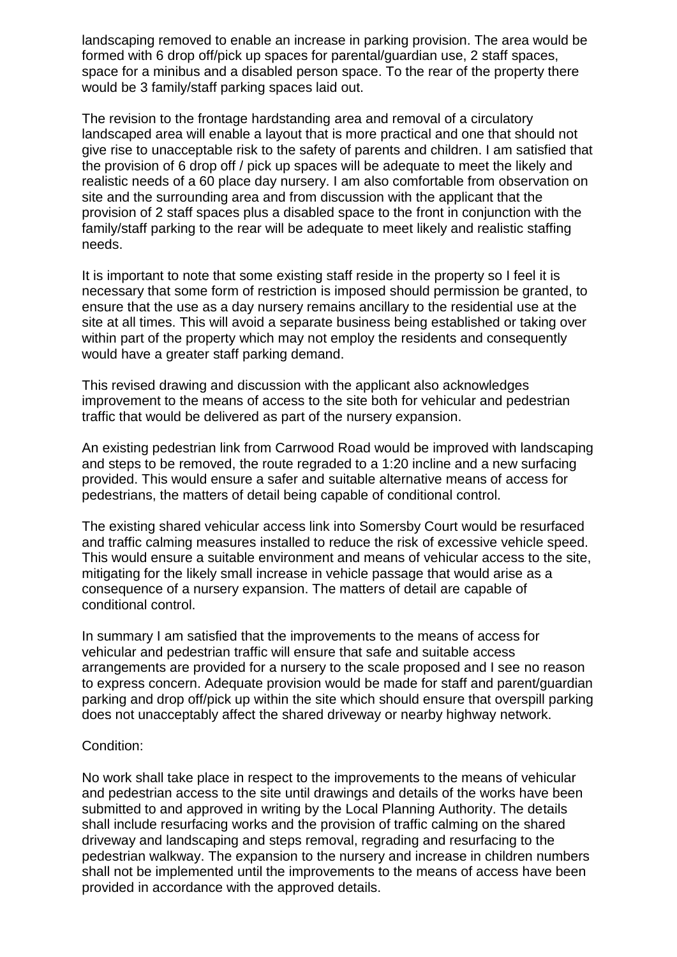landscaping removed to enable an increase in parking provision. The area would be formed with 6 drop off/pick up spaces for parental/guardian use, 2 staff spaces, space for a minibus and a disabled person space. To the rear of the property there would be 3 family/staff parking spaces laid out.

The revision to the frontage hardstanding area and removal of a circulatory landscaped area will enable a layout that is more practical and one that should not give rise to unacceptable risk to the safety of parents and children. I am satisfied that the provision of 6 drop off / pick up spaces will be adequate to meet the likely and realistic needs of a 60 place day nursery. I am also comfortable from observation on site and the surrounding area and from discussion with the applicant that the provision of 2 staff spaces plus a disabled space to the front in conjunction with the family/staff parking to the rear will be adequate to meet likely and realistic staffing needs.

It is important to note that some existing staff reside in the property so I feel it is necessary that some form of restriction is imposed should permission be granted, to ensure that the use as a day nursery remains ancillary to the residential use at the site at all times. This will avoid a separate business being established or taking over within part of the property which may not employ the residents and consequently would have a greater staff parking demand.

This revised drawing and discussion with the applicant also acknowledges improvement to the means of access to the site both for vehicular and pedestrian traffic that would be delivered as part of the nursery expansion.

An existing pedestrian link from Carrwood Road would be improved with landscaping and steps to be removed, the route regraded to a 1:20 incline and a new surfacing provided. This would ensure a safer and suitable alternative means of access for pedestrians, the matters of detail being capable of conditional control.

The existing shared vehicular access link into Somersby Court would be resurfaced and traffic calming measures installed to reduce the risk of excessive vehicle speed. This would ensure a suitable environment and means of vehicular access to the site, mitigating for the likely small increase in vehicle passage that would arise as a consequence of a nursery expansion. The matters of detail are capable of conditional control.

In summary I am satisfied that the improvements to the means of access for vehicular and pedestrian traffic will ensure that safe and suitable access arrangements are provided for a nursery to the scale proposed and I see no reason to express concern. Adequate provision would be made for staff and parent/guardian parking and drop off/pick up within the site which should ensure that overspill parking does not unacceptably affect the shared driveway or nearby highway network.

#### Condition:

No work shall take place in respect to the improvements to the means of vehicular and pedestrian access to the site until drawings and details of the works have been submitted to and approved in writing by the Local Planning Authority. The details shall include resurfacing works and the provision of traffic calming on the shared driveway and landscaping and steps removal, regrading and resurfacing to the pedestrian walkway. The expansion to the nursery and increase in children numbers shall not be implemented until the improvements to the means of access have been provided in accordance with the approved details.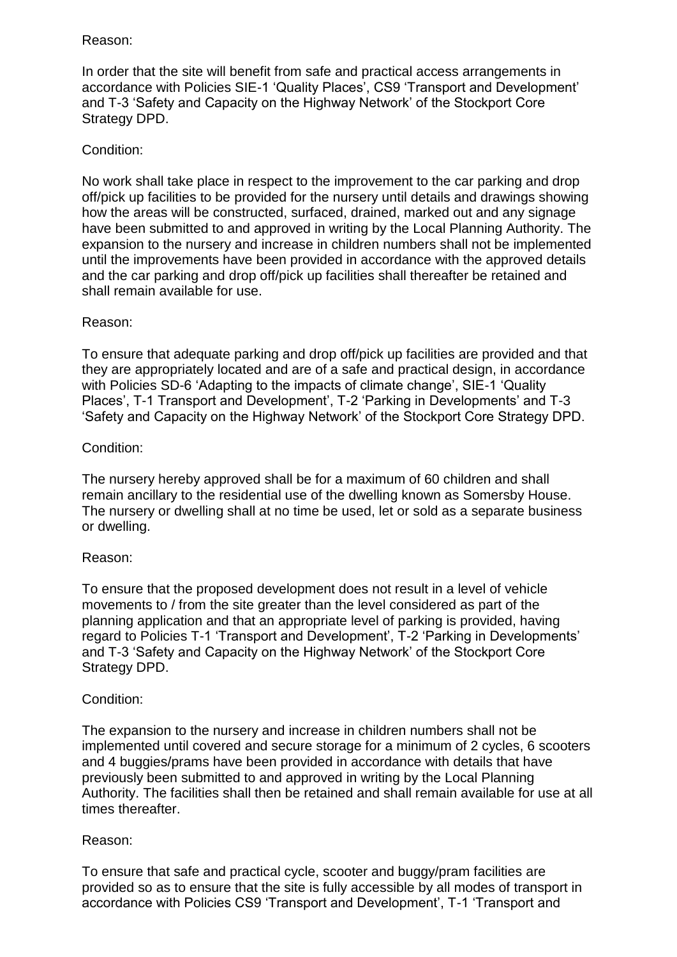#### Reason:

In order that the site will benefit from safe and practical access arrangements in accordance with Policies SIE-1 'Quality Places', CS9 'Transport and Development' and T-3 'Safety and Capacity on the Highway Network' of the Stockport Core Strategy DPD.

## Condition:

No work shall take place in respect to the improvement to the car parking and drop off/pick up facilities to be provided for the nursery until details and drawings showing how the areas will be constructed, surfaced, drained, marked out and any signage have been submitted to and approved in writing by the Local Planning Authority. The expansion to the nursery and increase in children numbers shall not be implemented until the improvements have been provided in accordance with the approved details and the car parking and drop off/pick up facilities shall thereafter be retained and shall remain available for use.

## Reason:

To ensure that adequate parking and drop off/pick up facilities are provided and that they are appropriately located and are of a safe and practical design, in accordance with Policies SD-6 'Adapting to the impacts of climate change', SIE-1 'Quality Places', T-1 Transport and Development', T-2 'Parking in Developments' and T-3 'Safety and Capacity on the Highway Network' of the Stockport Core Strategy DPD.

## Condition:

The nursery hereby approved shall be for a maximum of 60 children and shall remain ancillary to the residential use of the dwelling known as Somersby House. The nursery or dwelling shall at no time be used, let or sold as a separate business or dwelling.

## Reason:

To ensure that the proposed development does not result in a level of vehicle movements to / from the site greater than the level considered as part of the planning application and that an appropriate level of parking is provided, having regard to Policies T-1 'Transport and Development', T-2 'Parking in Developments' and T-3 'Safety and Capacity on the Highway Network' of the Stockport Core Strategy DPD.

## Condition:

The expansion to the nursery and increase in children numbers shall not be implemented until covered and secure storage for a minimum of 2 cycles, 6 scooters and 4 buggies/prams have been provided in accordance with details that have previously been submitted to and approved in writing by the Local Planning Authority. The facilities shall then be retained and shall remain available for use at all times thereafter.

## Reason:

To ensure that safe and practical cycle, scooter and buggy/pram facilities are provided so as to ensure that the site is fully accessible by all modes of transport in accordance with Policies CS9 'Transport and Development', T-1 'Transport and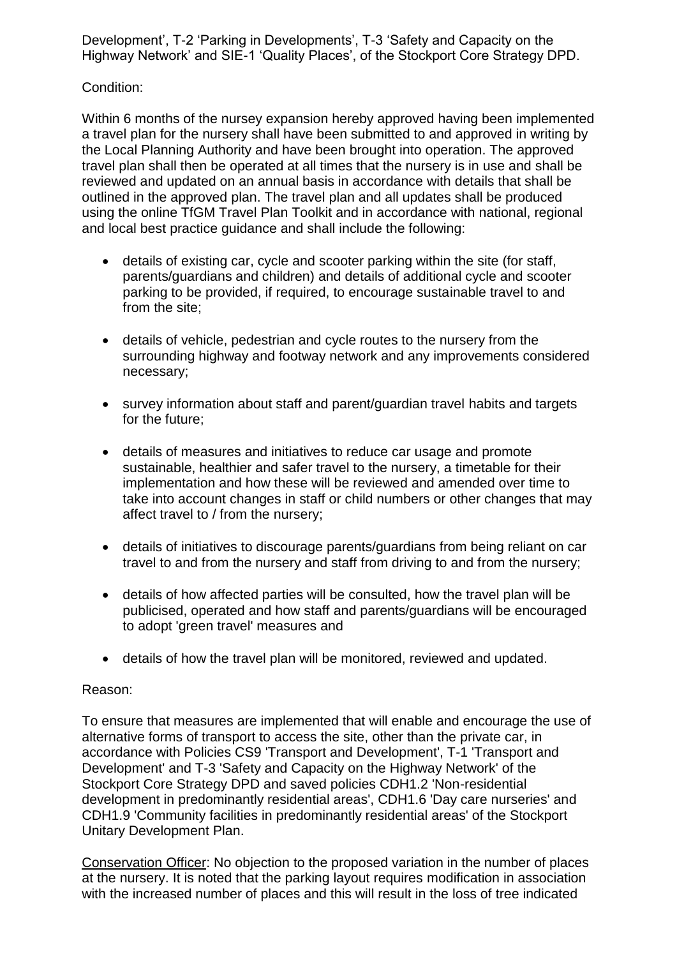Development', T-2 'Parking in Developments', T-3 'Safety and Capacity on the Highway Network' and SIE-1 'Quality Places', of the Stockport Core Strategy DPD.

## Condition:

Within 6 months of the nursey expansion hereby approved having been implemented a travel plan for the nursery shall have been submitted to and approved in writing by the Local Planning Authority and have been brought into operation. The approved travel plan shall then be operated at all times that the nursery is in use and shall be reviewed and updated on an annual basis in accordance with details that shall be outlined in the approved plan. The travel plan and all updates shall be produced using the online TfGM Travel Plan Toolkit and in accordance with national, regional and local best practice guidance and shall include the following:

- details of existing car, cycle and scooter parking within the site (for staff, parents/guardians and children) and details of additional cycle and scooter parking to be provided, if required, to encourage sustainable travel to and from the site;
- details of vehicle, pedestrian and cycle routes to the nursery from the surrounding highway and footway network and any improvements considered necessary;
- survey information about staff and parent/guardian travel habits and targets for the future;
- details of measures and initiatives to reduce car usage and promote sustainable, healthier and safer travel to the nursery, a timetable for their implementation and how these will be reviewed and amended over time to take into account changes in staff or child numbers or other changes that may affect travel to / from the nursery;
- details of initiatives to discourage parents/guardians from being reliant on car travel to and from the nursery and staff from driving to and from the nursery;
- details of how affected parties will be consulted, how the travel plan will be publicised, operated and how staff and parents/guardians will be encouraged to adopt 'green travel' measures and
- details of how the travel plan will be monitored, reviewed and updated.

#### Reason:

To ensure that measures are implemented that will enable and encourage the use of alternative forms of transport to access the site, other than the private car, in accordance with Policies CS9 'Transport and Development', T-1 'Transport and Development' and T-3 'Safety and Capacity on the Highway Network' of the Stockport Core Strategy DPD and saved policies CDH1.2 'Non-residential development in predominantly residential areas', CDH1.6 'Day care nurseries' and CDH1.9 'Community facilities in predominantly residential areas' of the Stockport Unitary Development Plan.

Conservation Officer: No objection to the proposed variation in the number of places at the nursery. It is noted that the parking layout requires modification in association with the increased number of places and this will result in the loss of tree indicated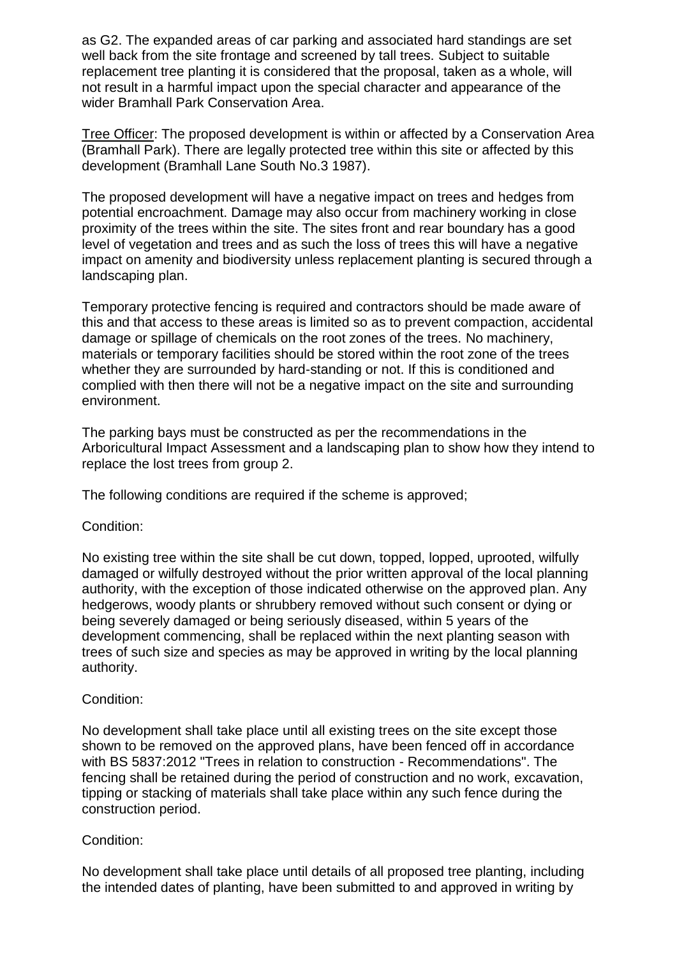as G2. The expanded areas of car parking and associated hard standings are set well back from the site frontage and screened by tall trees. Subject to suitable replacement tree planting it is considered that the proposal, taken as a whole, will not result in a harmful impact upon the special character and appearance of the wider Bramhall Park Conservation Area.

Tree Officer: The proposed development is within or affected by a Conservation Area (Bramhall Park). There are legally protected tree within this site or affected by this development (Bramhall Lane South No.3 1987).

The proposed development will have a negative impact on trees and hedges from potential encroachment. Damage may also occur from machinery working in close proximity of the trees within the site. The sites front and rear boundary has a good level of vegetation and trees and as such the loss of trees this will have a negative impact on amenity and biodiversity unless replacement planting is secured through a landscaping plan.

Temporary protective fencing is required and contractors should be made aware of this and that access to these areas is limited so as to prevent compaction, accidental damage or spillage of chemicals on the root zones of the trees. No machinery, materials or temporary facilities should be stored within the root zone of the trees whether they are surrounded by hard-standing or not. If this is conditioned and complied with then there will not be a negative impact on the site and surrounding environment.

The parking bays must be constructed as per the recommendations in the Arboricultural Impact Assessment and a landscaping plan to show how they intend to replace the lost trees from group 2.

The following conditions are required if the scheme is approved;

Condition:

No existing tree within the site shall be cut down, topped, lopped, uprooted, wilfully damaged or wilfully destroyed without the prior written approval of the local planning authority, with the exception of those indicated otherwise on the approved plan. Any hedgerows, woody plants or shrubbery removed without such consent or dying or being severely damaged or being seriously diseased, within 5 years of the development commencing, shall be replaced within the next planting season with trees of such size and species as may be approved in writing by the local planning authority.

#### Condition:

No development shall take place until all existing trees on the site except those shown to be removed on the approved plans, have been fenced off in accordance with BS 5837:2012 "Trees in relation to construction - Recommendations". The fencing shall be retained during the period of construction and no work, excavation, tipping or stacking of materials shall take place within any such fence during the construction period.

#### Condition:

No development shall take place until details of all proposed tree planting, including the intended dates of planting, have been submitted to and approved in writing by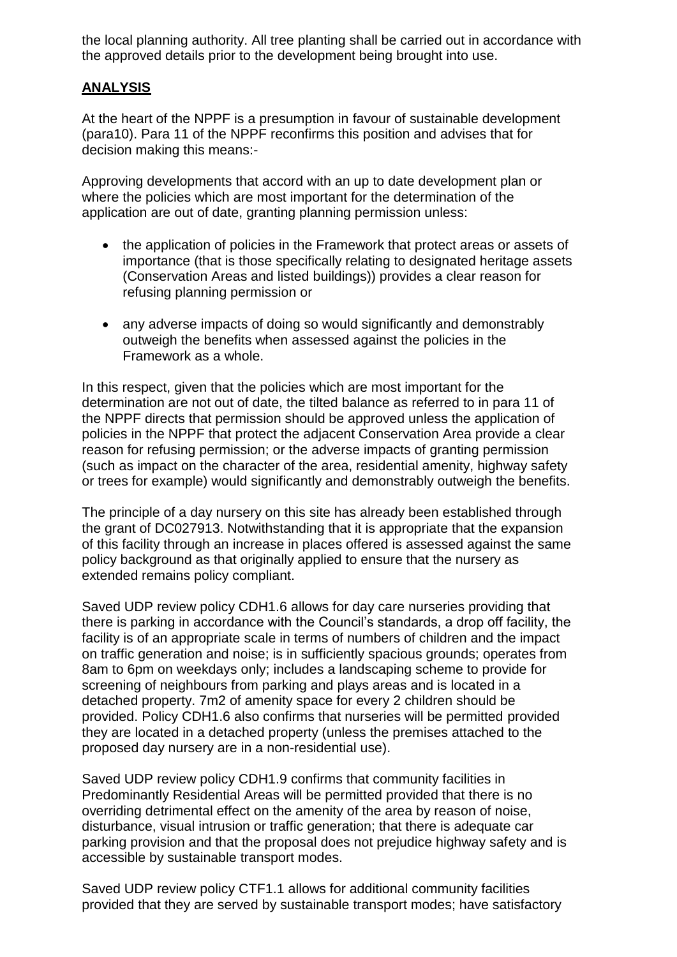the local planning authority. All tree planting shall be carried out in accordance with the approved details prior to the development being brought into use.

## **ANALYSIS**

At the heart of the NPPF is a presumption in favour of sustainable development (para10). Para 11 of the NPPF reconfirms this position and advises that for decision making this means:-

Approving developments that accord with an up to date development plan or where the policies which are most important for the determination of the application are out of date, granting planning permission unless:

- the application of policies in the Framework that protect areas or assets of importance (that is those specifically relating to designated heritage assets (Conservation Areas and listed buildings)) provides a clear reason for refusing planning permission or
- any adverse impacts of doing so would significantly and demonstrably outweigh the benefits when assessed against the policies in the Framework as a whole.

In this respect, given that the policies which are most important for the determination are not out of date, the tilted balance as referred to in para 11 of the NPPF directs that permission should be approved unless the application of policies in the NPPF that protect the adjacent Conservation Area provide a clear reason for refusing permission; or the adverse impacts of granting permission (such as impact on the character of the area, residential amenity, highway safety or trees for example) would significantly and demonstrably outweigh the benefits.

The principle of a day nursery on this site has already been established through the grant of DC027913. Notwithstanding that it is appropriate that the expansion of this facility through an increase in places offered is assessed against the same policy background as that originally applied to ensure that the nursery as extended remains policy compliant.

Saved UDP review policy CDH1.6 allows for day care nurseries providing that there is parking in accordance with the Council's standards, a drop off facility, the facility is of an appropriate scale in terms of numbers of children and the impact on traffic generation and noise; is in sufficiently spacious grounds; operates from 8am to 6pm on weekdays only; includes a landscaping scheme to provide for screening of neighbours from parking and plays areas and is located in a detached property. 7m2 of amenity space for every 2 children should be provided. Policy CDH1.6 also confirms that nurseries will be permitted provided they are located in a detached property (unless the premises attached to the proposed day nursery are in a non-residential use).

Saved UDP review policy CDH1.9 confirms that community facilities in Predominantly Residential Areas will be permitted provided that there is no overriding detrimental effect on the amenity of the area by reason of noise, disturbance, visual intrusion or traffic generation; that there is adequate car parking provision and that the proposal does not prejudice highway safety and is accessible by sustainable transport modes.

Saved UDP review policy CTF1.1 allows for additional community facilities provided that they are served by sustainable transport modes; have satisfactory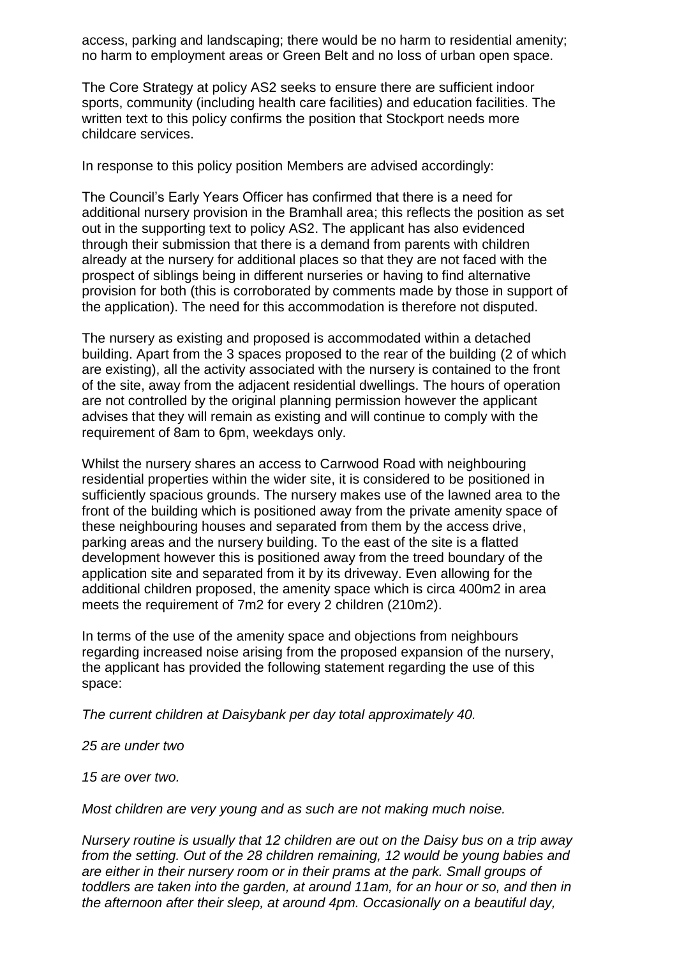access, parking and landscaping; there would be no harm to residential amenity; no harm to employment areas or Green Belt and no loss of urban open space.

The Core Strategy at policy AS2 seeks to ensure there are sufficient indoor sports, community (including health care facilities) and education facilities. The written text to this policy confirms the position that Stockport needs more childcare services.

In response to this policy position Members are advised accordingly:

The Council's Early Years Officer has confirmed that there is a need for additional nursery provision in the Bramhall area; this reflects the position as set out in the supporting text to policy AS2. The applicant has also evidenced through their submission that there is a demand from parents with children already at the nursery for additional places so that they are not faced with the prospect of siblings being in different nurseries or having to find alternative provision for both (this is corroborated by comments made by those in support of the application). The need for this accommodation is therefore not disputed.

The nursery as existing and proposed is accommodated within a detached building. Apart from the 3 spaces proposed to the rear of the building (2 of which are existing), all the activity associated with the nursery is contained to the front of the site, away from the adjacent residential dwellings. The hours of operation are not controlled by the original planning permission however the applicant advises that they will remain as existing and will continue to comply with the requirement of 8am to 6pm, weekdays only.

Whilst the nursery shares an access to Carrwood Road with neighbouring residential properties within the wider site, it is considered to be positioned in sufficiently spacious grounds. The nursery makes use of the lawned area to the front of the building which is positioned away from the private amenity space of these neighbouring houses and separated from them by the access drive, parking areas and the nursery building. To the east of the site is a flatted development however this is positioned away from the treed boundary of the application site and separated from it by its driveway. Even allowing for the additional children proposed, the amenity space which is circa 400m2 in area meets the requirement of 7m2 for every 2 children (210m2).

In terms of the use of the amenity space and objections from neighbours regarding increased noise arising from the proposed expansion of the nursery, the applicant has provided the following statement regarding the use of this space:

*The current children at Daisybank per day total approximately 40.*

*25 are under two*

*15 are over two.*

*Most children are very young and as such are not making much noise.*

*Nursery routine is usually that 12 children are out on the Daisy bus on a trip away from the setting. Out of the 28 children remaining, 12 would be young babies and are either in their nursery room or in their prams at the park. Small groups of toddlers are taken into the garden, at around 11am, for an hour or so, and then in the afternoon after their sleep, at around 4pm. Occasionally on a beautiful day,*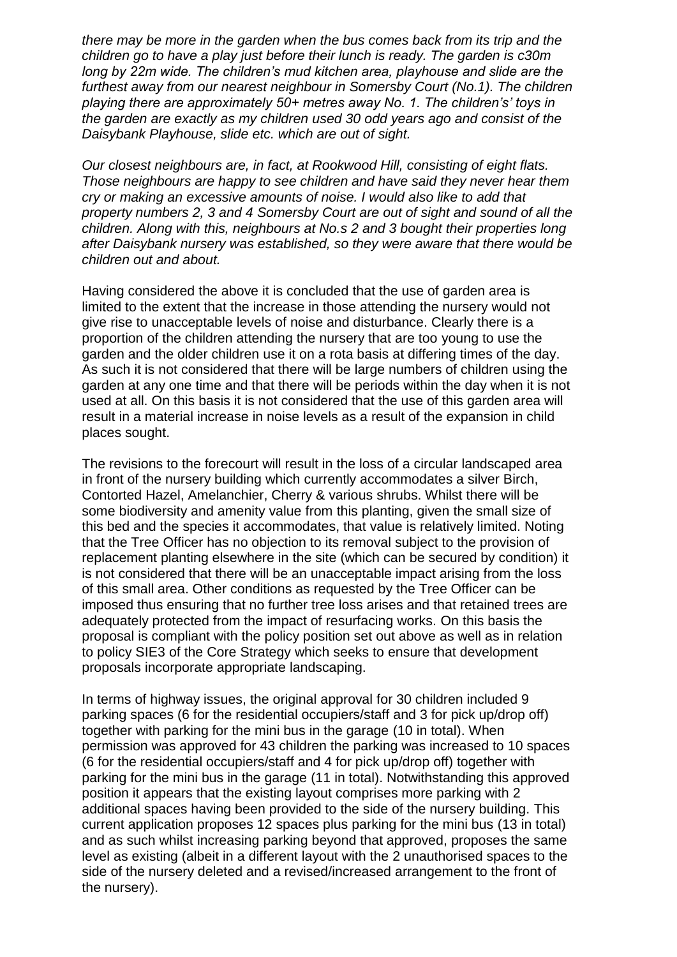*there may be more in the garden when the bus comes back from its trip and the children go to have a play just before their lunch is ready. The garden is c30m long by 22m wide. The children's mud kitchen area, playhouse and slide are the furthest away from our nearest neighbour in Somersby Court (No.1). The children playing there are approximately 50+ metres away No. 1. The children's' toys in the garden are exactly as my children used 30 odd years ago and consist of the Daisybank Playhouse, slide etc. which are out of sight.*

*Our closest neighbours are, in fact, at Rookwood Hill, consisting of eight flats. Those neighbours are happy to see children and have said they never hear them cry or making an excessive amounts of noise. I would also like to add that property numbers 2, 3 and 4 Somersby Court are out of sight and sound of all the children. Along with this, neighbours at No.s 2 and 3 bought their properties long after Daisybank nursery was established, so they were aware that there would be children out and about.*

Having considered the above it is concluded that the use of garden area is limited to the extent that the increase in those attending the nursery would not give rise to unacceptable levels of noise and disturbance. Clearly there is a proportion of the children attending the nursery that are too young to use the garden and the older children use it on a rota basis at differing times of the day. As such it is not considered that there will be large numbers of children using the garden at any one time and that there will be periods within the day when it is not used at all. On this basis it is not considered that the use of this garden area will result in a material increase in noise levels as a result of the expansion in child places sought.

The revisions to the forecourt will result in the loss of a circular landscaped area in front of the nursery building which currently accommodates a silver Birch, Contorted Hazel, Amelanchier, Cherry & various shrubs. Whilst there will be some biodiversity and amenity value from this planting, given the small size of this bed and the species it accommodates, that value is relatively limited. Noting that the Tree Officer has no objection to its removal subject to the provision of replacement planting elsewhere in the site (which can be secured by condition) it is not considered that there will be an unacceptable impact arising from the loss of this small area. Other conditions as requested by the Tree Officer can be imposed thus ensuring that no further tree loss arises and that retained trees are adequately protected from the impact of resurfacing works. On this basis the proposal is compliant with the policy position set out above as well as in relation to policy SIE3 of the Core Strategy which seeks to ensure that development proposals incorporate appropriate landscaping.

In terms of highway issues, the original approval for 30 children included 9 parking spaces (6 for the residential occupiers/staff and 3 for pick up/drop off) together with parking for the mini bus in the garage (10 in total). When permission was approved for 43 children the parking was increased to 10 spaces (6 for the residential occupiers/staff and 4 for pick up/drop off) together with parking for the mini bus in the garage (11 in total). Notwithstanding this approved position it appears that the existing layout comprises more parking with 2 additional spaces having been provided to the side of the nursery building. This current application proposes 12 spaces plus parking for the mini bus (13 in total) and as such whilst increasing parking beyond that approved, proposes the same level as existing (albeit in a different layout with the 2 unauthorised spaces to the side of the nursery deleted and a revised/increased arrangement to the front of the nursery).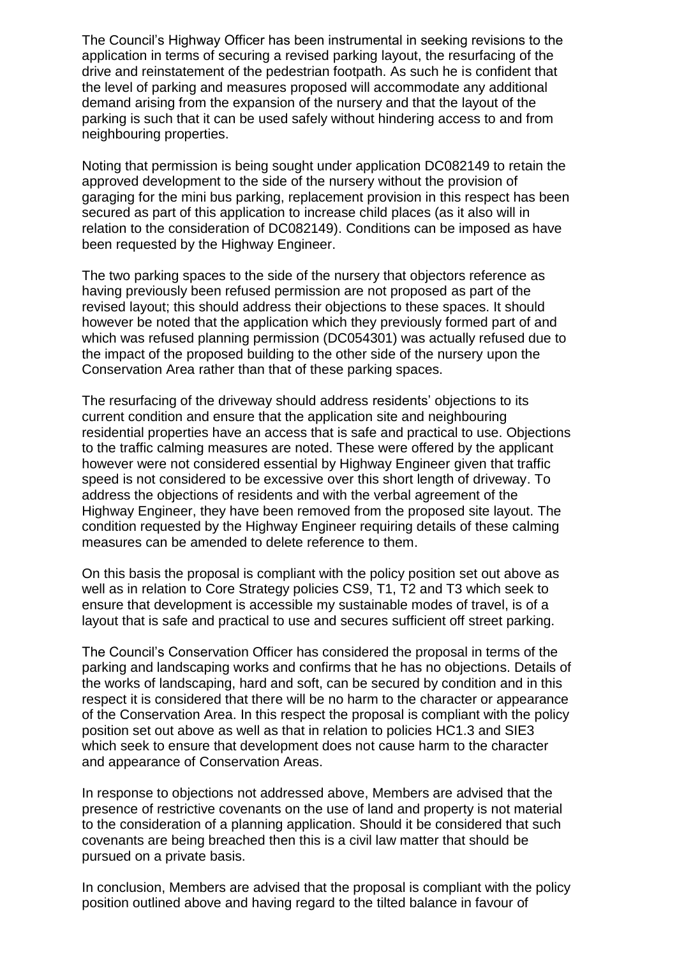The Council's Highway Officer has been instrumental in seeking revisions to the application in terms of securing a revised parking layout, the resurfacing of the drive and reinstatement of the pedestrian footpath. As such he is confident that the level of parking and measures proposed will accommodate any additional demand arising from the expansion of the nursery and that the layout of the parking is such that it can be used safely without hindering access to and from neighbouring properties.

Noting that permission is being sought under application DC082149 to retain the approved development to the side of the nursery without the provision of garaging for the mini bus parking, replacement provision in this respect has been secured as part of this application to increase child places (as it also will in relation to the consideration of DC082149). Conditions can be imposed as have been requested by the Highway Engineer.

The two parking spaces to the side of the nursery that objectors reference as having previously been refused permission are not proposed as part of the revised layout; this should address their objections to these spaces. It should however be noted that the application which they previously formed part of and which was refused planning permission (DC054301) was actually refused due to the impact of the proposed building to the other side of the nursery upon the Conservation Area rather than that of these parking spaces.

The resurfacing of the driveway should address residents' objections to its current condition and ensure that the application site and neighbouring residential properties have an access that is safe and practical to use. Objections to the traffic calming measures are noted. These were offered by the applicant however were not considered essential by Highway Engineer given that traffic speed is not considered to be excessive over this short length of driveway. To address the objections of residents and with the verbal agreement of the Highway Engineer, they have been removed from the proposed site layout. The condition requested by the Highway Engineer requiring details of these calming measures can be amended to delete reference to them.

On this basis the proposal is compliant with the policy position set out above as well as in relation to Core Strategy policies CS9, T1, T2 and T3 which seek to ensure that development is accessible my sustainable modes of travel, is of a layout that is safe and practical to use and secures sufficient off street parking.

The Council's Conservation Officer has considered the proposal in terms of the parking and landscaping works and confirms that he has no objections. Details of the works of landscaping, hard and soft, can be secured by condition and in this respect it is considered that there will be no harm to the character or appearance of the Conservation Area. In this respect the proposal is compliant with the policy position set out above as well as that in relation to policies HC1.3 and SIE3 which seek to ensure that development does not cause harm to the character and appearance of Conservation Areas.

In response to objections not addressed above, Members are advised that the presence of restrictive covenants on the use of land and property is not material to the consideration of a planning application. Should it be considered that such covenants are being breached then this is a civil law matter that should be pursued on a private basis.

In conclusion, Members are advised that the proposal is compliant with the policy position outlined above and having regard to the tilted balance in favour of